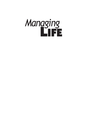# Managing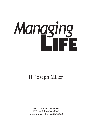# Managing

# H. Joseph Miller

REGULAR BAPTIST PRESS 1300 North Meacham Road Schaumburg, Illinois 60173-4806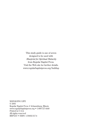This study guide is one of seven designed to be used with *Blueprint for Spiritual Maturity* from Regular Baptist Press*.* Visit the Web site for further details. www.regularbaptistpress.org/buildup

MANAGING LIFE © 2005 Regular Baptist Press • Schaumburg, Illinois www.regularbaptistpress.org • 1-800-727-4440 Printed in U.S.A. All rights reserved RBP5337 • ISBN: 1-59402-317-4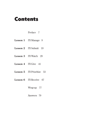### Contents

#### Preface 7

- **Lesson 1** I'll Manage 9
- **Lesson 2** I'll Submit 19
- **Lesson 3** I'll Watch 29
- **Lesson 4** I'll Give 41
- **Lesson 5** I'll Prioritize 53
- Lesson 6 I'll Receive 67
	- Wrap-up 77
	- Answers 79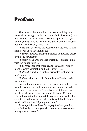## Preface

This book is about fulfilling your responsibility as a steward, or manager, of the resources God (the Owner) has entrusted to you. Each lesson presents a positive step, or action, you can take so that you are a doer of the Word, and not merely a hearer (James 1:22).

*I'll Manage* describes the occupation of steward as overriding even one's vocation in life.

*I'll Submit* involves first giving oneself to the Lord before giving one's substance.

*I'll Watch* deals with the responsibility to manage time with the right priorities.

*I'll Give* teaches that grace giving is an acknowledgement of God's ownership and our trust in Him.

*I'll Prioritize* includes Biblical principles for budgeting one's finances.

*I'll Receive* highlights the "abundances" God gives to sustain life.

Each of these steps requires the exercise of faith. Living by faith is not a leap in the dark; it is stepping in the light. Hebrews 11:1 says faith is "the substance of things hoped for, the evidence of things not seen." Hebrews 11:6 says, "But without faith it is impossible to please him: for he that cometh to God must believe that he is, and that he is a rewarder of them that diligently seek him."

As you put the truths of *Managing Life* into practice, your faith will grow, and you will become a steward whose management pleases God.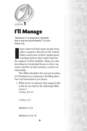

LESSON<sup>1</sup>

# I'll Manage

"Moreover it is required in stewards, that a man be found faithful" (1 Corinthians 4:2).

have observed that many people from<br>other countries who live in the United<br>States send most of their employment<br>earnings back to their native land for<br>the support of their families. Many are also have observed that many people from other countries who live in the United States send most of their employment earnings back to their native land for investing in a homeland house so they can return and live in their primary country of citizenship.

The Bible identifies the present location of Christians as a temporary dwelling place. Our real homeland is yet future.

 1. What terms or phrases that support this truth do you find in the following Bible verses ?

1 Peter 2:9–11

1 Peter 1:17

Matthew 5:13

Matthew 5:14–16

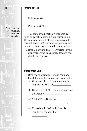

Ephesians 5:8

Philippians 3:20

You gained your earthly citizenship by birth or by naturalization. Your citizenship in Heaven came about by being born spiritually through receiving Christ as your personal Savior and by being placed into the family of God.

 2. Read Colossians 1:12–14. Describe in your own words what this passage teaches you about who you are.

#### TWO WORLDS

- 3. Read the following verses and complete the statements to contrast the two worlds.
	- (a) Colossians 1:13—The unbeliever belongs to the world of \_\_\_\_\_\_\_\_\_\_\_\_\_\_\_\_\_\_\_\_\_\_\_\_\_\_\_\_\_\_ .
	- (b) Ephesians 6:11, 12—Darkness describes the world of  $\qquad \qquad$  .

\_\_\_\_\_\_\_\_\_\_\_\_\_\_\_\_\_\_\_\_\_\_\_\_\_\_\_\_\_\_\_\_\_\_\_\_\_\_\_\_\_\_\_\_\_\_\_\_\_\_\_\_\_\_\_\_\_\_ .

(c)  $1$  John  $2:11$ —Darkness

\_\_\_\_\_\_\_\_\_\_\_\_\_\_\_\_\_\_\_\_\_\_\_\_ .

(d) Colossians 1:13—The believer is a member of the world of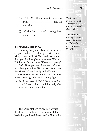- (e) 1 Peter 2:9—Christ came to deliver us from  $\frac{1}{\pi}$  into His marvelous
- (f) 2 Corinthians 11:14—Satan disguises himself as an

\_\_\_\_\_\_\_\_\_\_\_\_\_\_\_\_\_\_\_\_\_\_\_\_\_\_\_\_\_\_\_\_\_\_\_\_\_\_\_ .

#### A HEAVENLY LIFE VIEW

Knowing that your citizenship is in Heaven, you need to have a lifestyle that reflects who you are in Christ. You need answers to the age-old philosophical questions: Who am I? What am I doing here? Where am I going?

God's Word provides all we need to know to make right choices. We can learn from a man like Moses. Moses lived by faith (Hebrews 11:1, 2). He made choices by faith. How did he know how to make right choices in worldly Egypt?

 4. Read Hebrews 11:23–27. State several actions Moses took that built his godly character and good reputation.

The order of these verses begins with the desired results and concludes with the basis that produced these results. Notice the

*While we are*  in *this world of darkness, we are not to be* of *this world.* 

*The world is looking for answers. As many as 700 cults may practice in the U.S.*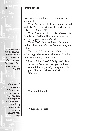

process when you look at the verses in the reverse order.

Verse 27—Moses had a *foundation* in God and His Word. Your view of life must rest on this foundation of Bible truth.

Verse 26—Moses based his *values* on his foundation of faith in God. Your values are shaped by your system of truth.

Verse 25—This victor based his *choices* on his values. Your choices demonstrate your values.

Verse 24—Moses' pattern of choices resulted in good *character* (who he was) and a good *reputation* (what he did).

 5. Read 1 John 2:28—3:3. In light of this text, as well as the other passages you have studied thus far, briefly state your philosophy of life as a believer in Christ. Who am I?

What am I doing here?

Where am I going?

*Who you are is more important than what you do or have. But what you do or*  have is a reflec*tion of who you really are.*

*The Heaven's Gate cult in California lost the value of life. They gave up everything but their Nikes, committing mass suicide, dying while wearing their shoes.*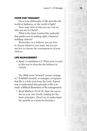#### FOOD FOR THOUGHT

Does your philosophy of life describe the world of darkness, or the world of light?

Does your view of who you are rest on who you are in Christ?

What is the final, trustworthy authority that guides you in making right, characterbuilding choices?

Remember, as a believer you are free to choose whatever you want, but you are not free to choose the consequences of your choices.

#### LIFE MANAGEMENT

 6. Read 1 Corinthians 4:2. What term is used in this text to describe the believer in Christ?

The Bible term "steward" means "manager." A faithful steward, or manager, recognizes that life is a holy trust from the Lord. A good way to understand this principle of life is to study a Biblical illustration of life management.

 7. Read Matthew 25:14–30. State the narrative in your own words, looking for the basic principles. (Don't try to understand the parable as a basis for doctrine.)

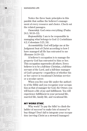

Notice the three basic principles in this parable that outline the believer's management of every resource and choice. Check out the related passages.

*Ownership:* God owns everything (Psalm 24:1; 50:10–12).

*Responsibility:* I am to be responsible in managing what belongs to God (1 Corinthians 4:2; Colossians 3:23, 24).

*Accountability:* God will judge me at the Judgment Seat of Christ according to how I have managed all He has entrusted to me (Romans 14:10–12).

A believer's occupation is to manage the property God has entrusted to him or her. This occupation supersedes all others. Every believer is to be a full-time Christian, a full-time servant of the Lord, and a full-time manager of God's property—regardless of whether his or her career is vocational Christian service or a secular career.

When you live your life under the authority of the Bible and you recognize your occupation as that of manager for God, the Owner, you will know a life of joy and fulfillment. You will experience fulfillment in your personal life, married life, family life, and vocational life.

#### MY WORK ETHIC

Why work? To pay the bills? to climb the ladder of success? to make lots of money? to buy things? Don't fail to integrate your occupation (serving Christ as a steward/manager)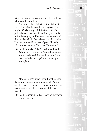with your vocation (commonly referred to as what you do for a living).

A steward of Christ will not selfishly divorce Christianity from his workplace, fearing his Christianity will interfere with his potential success, wealth, or lifestyle. Life is not to be segregated between the sacred and the secular within the believer's daily routine. Your work should be part of your Christian faith and service for Christ as His steward.

 8. Read Genesis 1:28–31. God introduced Adam and Eve to work *before* they sinned and experienced the results of sin. Summarize God's description of this original workplace.

Made in God's image, man has the capacity for purposeful, imaginative work. Adam and Eve worked in a perfect environment. But as a result of sin, the character of the work was altered.

 9. Read Genesis 3:16–19. Describe the ways work changed.

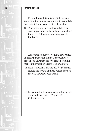

Fellowship with God is possible in your vocation if that workplace does not violate Biblical principles for your choice of vocation.

10. What are some jobs that would destroy your opportunity to be salt and light (Matthew 5:13–16) as a steward/manger for the Lord?

As redeemed people, we have new values and new purpose for living. Our vocation is part of our Christian life. We can enjoy fulfillment in the vocation that is God's will for us.

 11. Read Colossians 3:1 and 17. What impact should the truths of these verses have on the way you view your work?

12. In each of the following verses, find an answer to the question, Why work? Colossians 3:24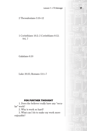2 Thessalonians 3:10–12

1 Corinthians 16:2; 2 Corinthians 8:12; 9:6, 7

Galatians 6:10

Luke 20:25; Romans 13:1–7

#### FOR FURTHER THOUGHT

1. Does the believer really have any "secular" work?

2. Why is work so hard?

3. What can I do to make my work more enjoyable?